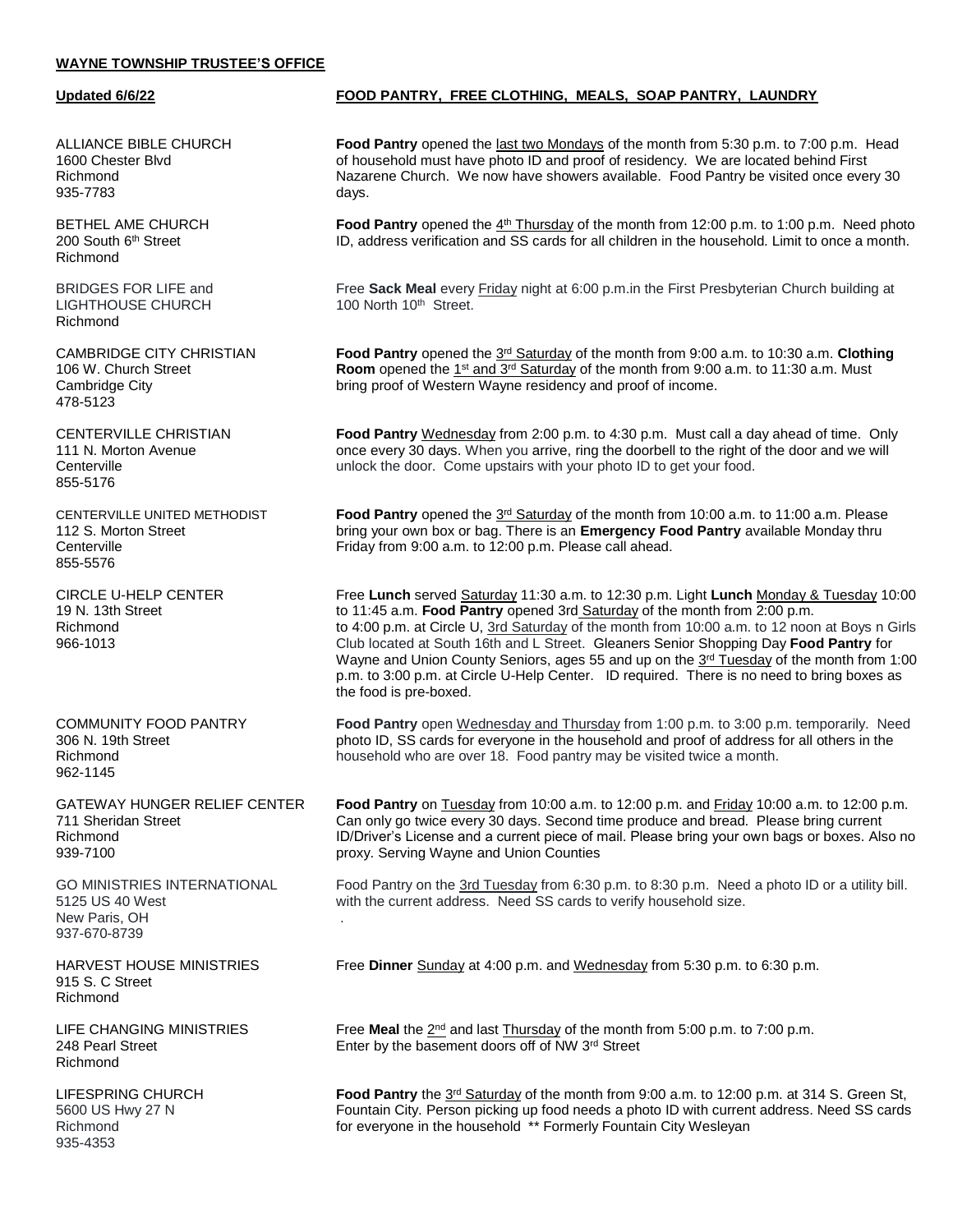## **WAYNE TOWNSHIP TRUSTEE'S OFFICE**

935-7783 days.

Richmond

LIGHTHOUSE CHURCH 100 North 10<sup>th</sup> Street. Richmond

**CAMBRIDGE CITY CHRISTIAN** 478-5123

855-5176

CENTERVILLE UNITED METHODIST<br>112 S. Morton Street 855-5576

962-1145

New Paris, OH . 937-670-8739

915 S. C Street Richmond

**LIFE CHANGING MINISTRIES** Richmond

935-4353

## **Updated 6/6/22 FOOD PANTRY, FREE CLOTHING, MEALS, SOAP PANTRY, LAUNDRY**

ALLIANCE BIBLE CHURCH **Food Pantry** opened the last two Mondays of the month from 5:30 p.m. to 7:00 p.m. Head 1600 Chester Blvd of household must have photo ID and proof of residency. We are located behind First Richmond Nazarene Church. We now have showers available. Food Pantry be visited once every 30

BETHEL AME CHURCH **Food Pantry** opened the 4<sup>th</sup> Thursday of the month from 12:00 p.m. to 1:00 p.m. Need photo 200 South 6th Street ID, address verification and SS cards for all children in the household. Limit to once a month.

BRIDGES FOR LIFE and Free **Sack Meal** every Friday night at 6:00 p.m.in the First Presbyterian Church building at

Food Pantry opened the 3<sup>rd</sup> Saturday of the month from 9:00 a.m. to 10:30 a.m. Clothing 106 W. Church Street **Room** opened the 1<sup>st</sup> and 3<sup>rd</sup> Saturday of the month from 9:00 a.m. to 11:30 a.m. Must Cambridge City bring proof of Western Wayne residency and proof of income.

CENTERVILLE CHRISTIAN **Food Pantry** Wednesday from 2:00 p.m. to 4:30 p.m. Must call a day ahead of time. Only 111 N. Morton Avenue once every 30 days. When you arrive, ring the doorbell to the right of the door and we will<br>Centerville unlock the door. Come upstairs with your photo ID to get your food.

Food Pantry opened the  $3<sup>rd</sup>$  Saturday of the month from 10:00 a.m. to 11:00 a.m. Please bring your own box or bag. There is an **Emergency Food Pantry** available Monday thru Centerville **Friday from 9:00 a.m.** to 12:00 p.m. Please call ahead.

CIRCLE U-HELP CENTER Free **Lunch** served Saturday 11:30 a.m. to 12:30 p.m. Light **Lunch** Monday & Tuesday 10:00 19 N. 13th Street to 11:45 a.m. **Food Pantry** opened 3rd Saturday of the month from 2:00 p.m. Richmond **to 4:00 p.m. at Circle U**, 3rd Saturday of the month from 10:00 a.m. to 12 noon at Boys n Girls and E<br>966-1013 **Supplem Club located at South 16th and L Street. Gleaners Senior Shopping Day Food Pantry for** 966-1013 Club located at South 16th and L Street. Gleaners Senior Shopping Day **Food Pantry** for Wayne and Union County Seniors, ages 55 and up on the 3<sup>rd</sup> Tuesday of the month from 1:00 p.m. to 3:00 p.m. at Circle U-Help Center. ID required. There is no need to bring boxes as the food is pre-boxed.

COMMUNITY FOOD PANTRY **Food Pantry** open Wednesday and Thursday from 1:00 p.m. to 3:00 p.m. temporarily. Need 306 N. 19th Street photo ID, SS cards for everyone in the household and proof of address for all others in the Richmond household who are over 18. Food pantry may be visited twice a month.

GATEWAY HUNGER RELIEF CENTER **Food Pantry** on Tuesday from 10:00 a.m. to 12:00 p.m. and Friday 10:00 a.m. to 12:00 p.m. 711 Sheridan Street Can only go twice every 30 days. Second time produce and bread. Please bring current Richmond **ID/Driver's License and a current piece of mail**. Please bring your own bags or boxes. Also no 939-7100 proxy. Serving Wayne and Union Counties

GO MINISTRIES INTERNATIONAL Food Pantry on the 3rd Tuesday from 6:30 p.m. to 8:30 p.m. Need a photo ID or a utility bill.<br>5125 US 40 West with the current address. Need SS cards to verify household size. with the current address. Need SS cards to verify household size.

HARVEST HOUSE MINISTRIES Free Dinner Sunday at 4:00 p.m. and Wednesday from 5:30 p.m. to 6:30 p.m.

Free Meal the  $2<sup>nd</sup>$  and last Thursday of the month from 5:00 p.m. to 7:00 p.m. 248 Pearl Street Enter by the basement doors off of NW 3rd Street

LIFESPRING CHURCH **Food Pantry** the 3<sup>rd</sup> Saturday of the month from 9:00 a.m. to 12:00 p.m. at 314 S. Green St, 5600 US Hwy 27 N Fountain City. Person picking up food needs a photo ID with current address. Need SS cards Richmond **for everyone in the household** \*\* Formerly Fountain City Wesleyan